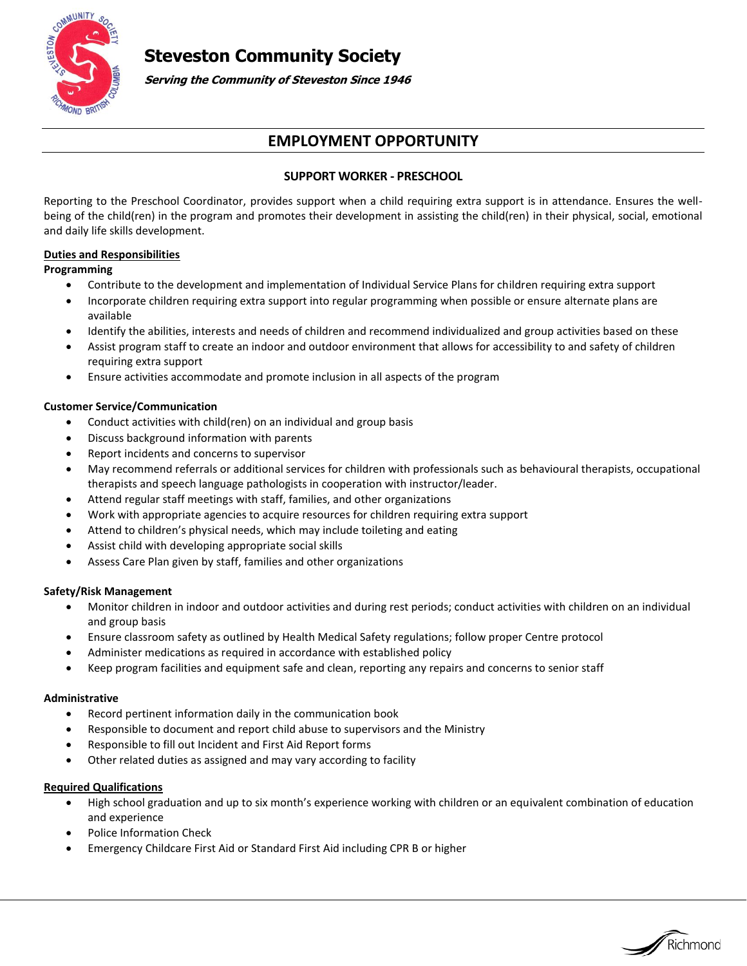

**Steveston Community Society**

**Serving the Community of Steveston Since 1946**

# **EMPLOYMENT OPPORTUNITY**

# **SUPPORT WORKER - PRESCHOOL**

Reporting to the Preschool Coordinator, provides support when a child requiring extra support is in attendance. Ensures the wellbeing of the child(ren) in the program and promotes their development in assisting the child(ren) in their physical, social, emotional and daily life skills development.

# **Duties and Responsibilities**

#### **Programming**

- Contribute to the development and implementation of Individual Service Plans for children requiring extra support
- Incorporate children requiring extra support into regular programming when possible or ensure alternate plans are available
- Identify the abilities, interests and needs of children and recommend individualized and group activities based on these
- Assist program staff to create an indoor and outdoor environment that allows for accessibility to and safety of children requiring extra support
- Ensure activities accommodate and promote inclusion in all aspects of the program

## **Customer Service/Communication**

- Conduct activities with child(ren) on an individual and group basis
- Discuss background information with parents
- Report incidents and concerns to supervisor
- May recommend referrals or additional services for children with professionals such as behavioural therapists, occupational therapists and speech language pathologists in cooperation with instructor/leader.
- Attend regular staff meetings with staff, families, and other organizations
- Work with appropriate agencies to acquire resources for children requiring extra support
- Attend to children's physical needs, which may include toileting and eating
- Assist child with developing appropriate social skills
- Assess Care Plan given by staff, families and other organizations

#### **Safety/Risk Management**

- Monitor children in indoor and outdoor activities and during rest periods; conduct activities with children on an individual and group basis
- Ensure classroom safety as outlined by Health Medical Safety regulations; follow proper Centre protocol
- Administer medications as required in accordance with established policy
- Keep program facilities and equipment safe and clean, reporting any repairs and concerns to senior staff

#### **Administrative**

- Record pertinent information daily in the communication book
- Responsible to document and report child abuse to supervisors and the Ministry
- Responsible to fill out Incident and First Aid Report forms
- Other related duties as assigned and may vary according to facility

#### **Required Qualifications**

 High school graduation and up to six month's experience working with children or an equivalent combination of education and experience

Richmond

- Police Information Check
- Emergency Childcare First Aid or Standard First Aid including CPR B or higher